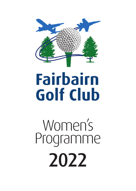

# **Fairbairn Golf Club**

Women's Programme 2022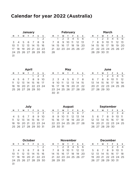# **Calendar for year 2022 (Australia)**

| Januarv |  |  |                      |  |   |                |  |  |  |  |
|---------|--|--|----------------------|--|---|----------------|--|--|--|--|
| м       |  |  | T W T F S            |  |   | $\mathsf{s}$   |  |  |  |  |
|         |  |  |                      |  | 1 | $\mathfrak{D}$ |  |  |  |  |
|         |  |  | 3 4 5 6 7 8 9        |  |   |                |  |  |  |  |
|         |  |  | 10 11 12 13 14 15 16 |  |   |                |  |  |  |  |
|         |  |  | 17 18 19 20 21 22 23 |  |   |                |  |  |  |  |
|         |  |  | 24 25 26 27 28 29 30 |  |   |                |  |  |  |  |
| 31      |  |  |                      |  |   |                |  |  |  |  |

| <b>February</b>             |                              |                      |  |  |               |  |  |  |  |  |
|-----------------------------|------------------------------|----------------------|--|--|---------------|--|--|--|--|--|
| M                           | w<br>s<br>- F<br>s<br>т<br>т |                      |  |  |               |  |  |  |  |  |
| - 5<br>6<br>$1 \t2 \t3 \t4$ |                              |                      |  |  |               |  |  |  |  |  |
| $\overline{7}$              | 8                            |                      |  |  | 9 10 11 12 13 |  |  |  |  |  |
|                             |                              | 14 15 16 17 18 19 20 |  |  |               |  |  |  |  |  |
|                             |                              | 21 22 23 24 25 26 27 |  |  |               |  |  |  |  |  |
| 28                          |                              |                      |  |  |               |  |  |  |  |  |

| March |   |                      |              |            |               |   |  |  |  |
|-------|---|----------------------|--------------|------------|---------------|---|--|--|--|
| м     | т | W                    | $\mathbf{r}$ | <b>F</b> S |               | s |  |  |  |
|       | 1 | $2 \times 4$         |              |            | - 5           | 6 |  |  |  |
|       | 8 |                      |              |            | 9 10 11 12 13 |   |  |  |  |
|       |   | 14 15 16 17 18 19 20 |              |            |               |   |  |  |  |
|       |   | 21 22 23 24 25 26 27 |              |            |               |   |  |  |  |
|       |   | 28 29 30 31          |              |            |               |   |  |  |  |

| April |  |                                  |   |              |                  |    |  |  |  |
|-------|--|----------------------------------|---|--------------|------------------|----|--|--|--|
| м     |  | W                                | т | - F          | s                | s  |  |  |  |
|       |  |                                  |   | $\mathbf{1}$ | $2 \overline{3}$ |    |  |  |  |
| 4     |  | 5 6 7 8                          |   |              | -9               | 10 |  |  |  |
| 11    |  | 12    13    14    15    16    17 |   |              |                  |    |  |  |  |
|       |  | 18 19 20 21 22 23 24             |   |              |                  |    |  |  |  |
|       |  | 25 26 27 28 29 30                |   |              |                  |    |  |  |  |

| Mav |      |   |              |                      |    |   |  |  |  |  |
|-----|------|---|--------------|----------------------|----|---|--|--|--|--|
| м   | τ.   | W | $\mathbf{r}$ | - F                  | S. | s |  |  |  |  |
|     |      |   |              |                      |    |   |  |  |  |  |
|     |      |   |              | 2 3 4 5 6 7          |    | 8 |  |  |  |  |
| q   |      |   |              | 10 11 12 13 14 15    |    |   |  |  |  |  |
|     |      |   |              | 16 17 18 19 20 21 22 |    |   |  |  |  |  |
|     |      |   |              | 23 24 25 26 27 28 29 |    |   |  |  |  |  |
| 30  | - 31 |   |              |                      |    |   |  |  |  |  |

| June |  |             |                      |       |                |     |  |  |  |
|------|--|-------------|----------------------|-------|----------------|-----|--|--|--|
| м    |  | W           | $^{\circ}$           | $F_S$ |                | -S  |  |  |  |
|      |  |             | $1 \t2 \t3$          |       | $\overline{4}$ | - 5 |  |  |  |
|      |  |             | 6 7 8 9 10 11 12     |       |                |     |  |  |  |
|      |  |             | 13 14 15 16 17 18 19 |       |                |     |  |  |  |
|      |  |             | 20 21 22 23 24 25 26 |       |                |     |  |  |  |
|      |  | 27 28 29 30 |                      |       |                |     |  |  |  |

| Julv |                 |                                  |  |       |               |    |  |  |  |
|------|-----------------|----------------------------------|--|-------|---------------|----|--|--|--|
| M    |                 | w                                |  | F     | s             | s  |  |  |  |
|      |                 |                                  |  | 1     | $\mathcal{P}$ | 3  |  |  |  |
| 4    | $5\overline{)}$ |                                  |  | 6 7 8 | 9             | 10 |  |  |  |
| 11   |                 | 12    13    14    15    16    17 |  |       |               |    |  |  |  |
| 18   |                 | 19 20 21 22 23 24                |  |       |               |    |  |  |  |
|      |                 | 25 26 27 28 29 30 31             |  |       |               |    |  |  |  |

| M              |          | w | т       | Е |                      | s              | ı  |
|----------------|----------|---|---------|---|----------------------|----------------|----|
| $\overline{1}$ |          |   | 2 3 4 5 |   | 6                    | $\overline{7}$ |    |
| 8              |          |   |         |   | 9 10 11 12 13 14     |                |    |
|                |          |   |         |   | 15 16 17 18 19 20 21 |                | ı. |
|                |          |   |         |   | 22 23 24 25 26 27 28 |                | 1! |
|                | 29 30 31 |   |         |   |                      |                | フ  |

| September |             |   |   |                   |    |      |  |  |  |
|-----------|-------------|---|---|-------------------|----|------|--|--|--|
| м         |             |   |   | Е                 | s  | s    |  |  |  |
|           |             |   | 1 | 2 <sub>3</sub>    |    |      |  |  |  |
| 5.        | 6           | 7 | 8 | 9                 | 10 | - 11 |  |  |  |
| $12-12$   |             |   |   | 13 14 15 16 17 18 |    |      |  |  |  |
| 19        |             |   |   | 20 21 22 23 24 25 |    |      |  |  |  |
|           | 26 27 28 29 |   |   | - 30              |    |      |  |  |  |

| October |                  |                      |  |  |   |               |  |  |  |  |
|---------|------------------|----------------------|--|--|---|---------------|--|--|--|--|
| м       | w<br>F<br>s<br>T |                      |  |  |   |               |  |  |  |  |
|         |                  |                      |  |  | 1 | $\mathcal{P}$ |  |  |  |  |
|         |                  | 3 4 5 6 7 8          |  |  |   | 9             |  |  |  |  |
|         |                  | 10 11 12 13 14 15 16 |  |  |   |               |  |  |  |  |
| 17      |                  | 18 19 20 21 22 23    |  |  |   |               |  |  |  |  |
|         |                  | 24 25 26 27 28 29 30 |  |  |   |               |  |  |  |  |
| Z1      |                  |                      |  |  |   |               |  |  |  |  |

| November |          |                      |    |         |               |   |  |  |  |  |
|----------|----------|----------------------|----|---------|---------------|---|--|--|--|--|
| M        |          | w                    | т. | - F     | s             | s |  |  |  |  |
|          |          |                      |    | 2 3 4 5 |               | 6 |  |  |  |  |
| 7        | 8        |                      |    |         | 9 10 11 12 13 |   |  |  |  |  |
|          |          | 14 15 16 17 18 19 20 |    |         |               |   |  |  |  |  |
|          |          | 21 22 23 24 25 26 27 |    |         |               |   |  |  |  |  |
|          | 28 29 30 |                      |    |         |               |   |  |  |  |  |

| December       |  |   |       |                      |                |       |  |  |  |  |
|----------------|--|---|-------|----------------------|----------------|-------|--|--|--|--|
| м              |  | w | т     | F                    | s              | s     |  |  |  |  |
|                |  |   | 1     | $\overline{2}$       | $\overline{3}$ |       |  |  |  |  |
| 5 <sub>1</sub> |  |   | 6 7 8 | 9 <sub>10</sub>      |                | $-11$ |  |  |  |  |
| $12-12$        |  |   |       | 13 14 15 16 17 18    |                |       |  |  |  |  |
|                |  |   |       | 19 20 21 22 23 24 25 |                |       |  |  |  |  |
|                |  |   |       | 26 27 28 29 30 31    |                |       |  |  |  |  |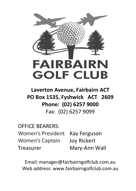

**Laverton Avenue, Fairbairn ACT PO Box 1535, Fyshwick ACT 2609 Phone: (02) 6257 9000**  Fax: (02) 6257 9099

OFFICE BEARERS: Women's President Kay Ferguson Women's Captain Joy Rickert Treasurer Mary-Ann Wall

Email: manager@fairbairngolfclub.com.au Web address: www.fairbairngolfclub.com.au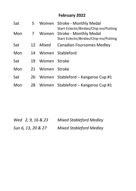## **February 2022**

| Sat | 5. |              | Women Stroke - Monthly Medal<br>Start Eclectic/Birdies/Chip-ins/Putting |  |
|-----|----|--------------|-------------------------------------------------------------------------|--|
| Mon |    |              | Women Stroke - Monthly Medal<br>Start Eclectic/Birdies/Chip-ins/Putting |  |
| Sat | 12 | Mixed        | Canadian Foursomes Medley                                               |  |
| Mon | 14 | Women        | Stableford                                                              |  |
| Sat | 19 | Women Stroke |                                                                         |  |
| Mon | 21 | Women Stroke |                                                                         |  |
| Sat | 26 |              | Women Stableford - Kangaroo Cup #1                                      |  |
| Mon | 28 | Women        | Stableford - Kangaroo Cup #1                                            |  |

*Wed 2, 9, 16 & 23 Mixed Stableford Medley Sun 6, 13, 20 & 27 Mixed Stableford Medley*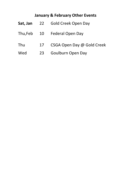# **January & February Other Events**

| Sat, Jan | 22 | Gold Creek Open Day        |
|----------|----|----------------------------|
| Thu.Feb  | 10 | Federal Open Day           |
| Thu      | 17 | CSGA Open Day @ Gold Creek |
| Wed      | 23 | Goulburn Open Day          |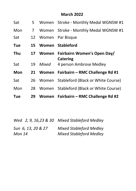#### **March 2022 March 2022**

| Sat        | 5  |       | Women Stroke - Monthly Medal WGNSW #1         |
|------------|----|-------|-----------------------------------------------|
| Mon        | 7  | Women | Stroke - Monthly Medal WGNSW #1               |
| Sat        | 12 |       | Women Par Bisque                              |
| <b>Tue</b> | 15 | Women | <b>Stableford</b>                             |
| <b>Thu</b> | 17 |       | Women Fairbairn Women's Open Day/<br>Catering |
| Sat        | 19 | Mixed | 4 person Ambrose Medley                       |
| <b>Mon</b> | 21 |       | Women Fairbairn – RMC Challenge Rd #1         |
| Sat        | 26 | Women | Stableford (Black or White Course)            |
| Mon        | 28 |       | Women Stableford (Black or White Course)      |
| <b>Tue</b> | 29 |       | Women Fairbairn – RMC Challenge Rd #2         |

| Wed 2, 9, 16,23 & 30 Mixed Stableford Medley |
|----------------------------------------------|
| Mixed Stableford Medley                      |
| <b>Mixed Stableford Medley</b>               |
|                                              |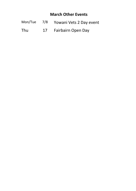### **March Other Events**

- Mon/Tue 7/8 Yowani Vets 2 Day event
- Thu 17 Fairbairn Open Day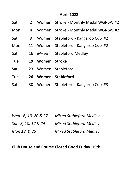# **April 2022**

| Sat        | 2  |              | Women Stroke - Monthly Medal WGNSW #2 |  |  |
|------------|----|--------------|---------------------------------------|--|--|
| Mon        | 4  |              | Women Stroke - Monthly Medal WGNSW #2 |  |  |
| Sat        | 9  |              | Women Stableford - Kangaroo Cup #2    |  |  |
| Mon        | 11 |              | Women Stableford - Kangaroo Cup #2    |  |  |
| Sat        | 16 | Mixed        | Stableford Medley                     |  |  |
| <b>Tue</b> | 19 | Women Stroke |                                       |  |  |
| Sat        | 23 | Women        | Stableford                            |  |  |
| <b>Tue</b> | 26 |              | Women Stableford                      |  |  |
| Sat        | 30 |              | Women Stableford - Kangaroo Cup #3    |  |  |

| Wed 6, 13, 20 & 27 | <b>Mixed Stableford Medley</b> |
|--------------------|--------------------------------|
| Sun 3, 10, 17 & 24 | <b>Mixed Stableford Medley</b> |
| Mon 18, & 25       | <b>Mixed Stableford Medley</b> |

## **Club House and Course Closed Good Friday 15th**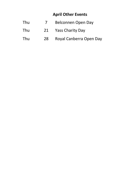## **April Other Events**

- Thu 7 Belconnen Open Day
- Thu 21 Yass Charity Day
- Thu 28 Royal Canberra Open Day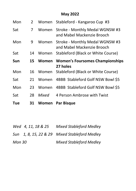## **May 2022**

| Mon |    | Women | Stableford - Kangaroo Cup #3                                  |
|-----|----|-------|---------------------------------------------------------------|
| Sat |    | Women | Stroke - Monthly Medal WGNSW #3<br>and Mabel Mackenzie Brooch |
| Mon | 9  | Women | Stroke - Monthly Medal WGNSW #3<br>and Mabel Mackenzie Brooch |
| Sat | 14 | Women | Stableford (Black or White Course)                            |
| Sun | 15 | Women | <b>Women's Foursomes Championships</b><br>27 holes            |
|     |    |       |                                                               |
| Mon | 16 | Women | Stableford (Black or White Course)                            |
| Sat | 21 | Women | 4BBB Stableford Golf NSW Bowl \$5                             |
| Mon | 23 | Women | 4BBB Stableford Golf NSW Bowl \$5                             |
| Sat | 28 | Mixed | 4 Person Ambrose with Twist                                   |

|        | Wed 4, 11, 18 & 25 | <b>Mixed Stableford Medlev</b>                |
|--------|--------------------|-----------------------------------------------|
|        |                    | Sun 1, 8, 15, 22 & 29 Mixed Stableford Medley |
| Mon 30 |                    | <b>Mixed Stableford Medley</b>                |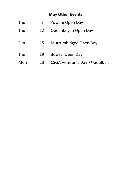# **May Other Events**

| Thu | 5  | Yowani Open Day               |
|-----|----|-------------------------------|
| Thu | 12 | Queanbeyan Open Day           |
| Sun | 15 | Murrumbidgee Open Day         |
| Thu | 19 | Bowral Open Day               |
| Mon | 23 | CSGA Veteran's Day @ Goulburn |
|     |    |                               |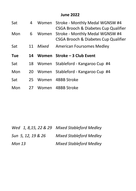#### **June 2022** *June 2022*

| Sat | 4  | Women | Stroke - Monthly Medal WGNSW #4<br>CSGA Brooch & Diabetes Cup Qualifier |
|-----|----|-------|-------------------------------------------------------------------------|
| Mon | 6  | Women | Stroke - Monthly Medal WGNSW #4<br>CSGA Brooch & Diabetes Cup Qualifier |
| Sat | 11 | Mixed | American Foursomes Medley                                               |
| Tue | 14 |       | Women Stroke – 3 Club Event                                             |
|     |    |       |                                                                         |
| Sat | 18 |       | Women Stableford - Kangaroo Cup #4                                      |
| Mon |    |       | 20 Women Stableford - Kangaroo Cup #4                                   |
| Sat |    |       | 25 Women 4BBB Stroke                                                    |

*Wed 1, 8,15, 22 & 29 Mixed Stableford Medley Sun 5, 12, 19 & 26 Mixed Stableford Medley Mon 13 Mixed Stableford Medley*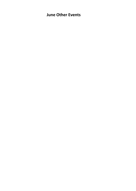### **June Other Events**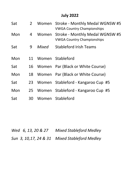## **July 2022**

| Sat | 2  |       | Women Stroke - Monthly Medal WGNSW #5<br><b>VWGA Country Championships</b> |
|-----|----|-------|----------------------------------------------------------------------------|
| Mon | 4  | Women | Stroke - Monthly Medal WGNSW #5<br><b>VWGA Country Championships</b>       |
| Sat | 9  | Mixed | <b>Stableford Irish Teams</b>                                              |
| Mon | 11 |       | Women Stableford                                                           |
| Sat |    |       | 16 Women Par (Black or White Course)                                       |
| Mon | 18 |       | Women Par (Black or White Course)                                          |
| Sat |    |       | 23 Women Stableford - Kangaroo Cup #5                                      |
| Mon |    |       | 25 Women Stableford - Kangaroo Cup #5                                      |
| Sat | 30 |       | Women Stableford                                                           |

*Wed 6, 13, 20 & 27 Mixed Stableford Medley* 

*Sun 3, 10,17, 24 & 31 Mixed Stableford Medley*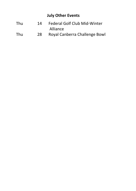## **July Other Events**

| Thu          | 14 | Federal Golf Club Mid-Winter |
|--------------|----|------------------------------|
|              |    | Alliance                     |
| $\mathbf{r}$ |    | .                            |

Thu 28 Royal Canberra Challenge Bowl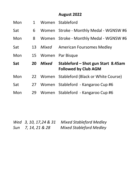## **August 2022**

| Mon        |    |       | Women Stableford                                                  |  |  |
|------------|----|-------|-------------------------------------------------------------------|--|--|
| Sat        | 6  |       | Women Stroke - Monthly Medal - WGNSW #6                           |  |  |
| Mon        | 8  |       | Women Stroke - Monthly Medal - WGNSW #6                           |  |  |
| Sat        | 13 | Mixed | American Foursomes Medley                                         |  |  |
| Mon        | 15 |       | Women Par Bisque                                                  |  |  |
|            |    |       |                                                                   |  |  |
| Sat        | 20 | Mixed | Stableford – Shot gun Start 8.45am<br><b>Followed by Club AGM</b> |  |  |
|            | 22 |       | Women Stableford (Black or White Course)                          |  |  |
| Mon<br>Sat | 27 |       | Women Stableford - Kangaroo Cup #6                                |  |  |

*Wed 3, 10, 17,24 & 31 Mixed Stableford Medley Sun 7, 14, 21 & 28 Mixed Stableford Medley*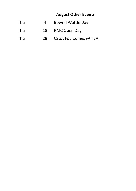## **August Other Events**

- Thu 4 Bowral Wattle Day
- Thu 18 RMC Open Day
- Thu 28 CSGA Foursomes @ TBA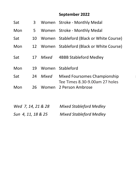# September 2022

| Sat | 3  |       | Women Stroke - Monthly Medal                                   |  |  |
|-----|----|-------|----------------------------------------------------------------|--|--|
| Mon | 5. |       | Women Stroke - Monthly Medal                                   |  |  |
| Sat | 10 |       | Women Stableford (Black or White Course)                       |  |  |
| Mon | 12 |       | Women Stableford (Black or White Course)                       |  |  |
| Sat | 17 | Mixed | 4BBB Stableford Medley                                         |  |  |
| Mon | 19 | Women | Stableford                                                     |  |  |
| Sat | 24 | Mixed | Mixed Foursomes Championship<br>Tee Times 8.30-9.00am 27 holes |  |  |
| Mon | 26 | Women | 2 Person Ambrose                                               |  |  |

| Wed 7, 14, 21 & 28 | <b>Mixed Stableford Medley</b> |
|--------------------|--------------------------------|
| Sun 4, 11, 18 & 25 | <b>Mixed Stableford Medley</b> |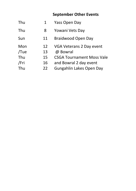# **September Other Events**

| Yass Open Day                    |    | Thu  |
|----------------------------------|----|------|
| Yowani Vets Day                  | 8  | Thu  |
| Braidwood Open Day               | 11 | Sun  |
| VGA Veterans 2 Day event         | 12 | Mon  |
| @ Bowral                         | 13 | /Tue |
| <b>CSGA Tournament Moss Vale</b> | 15 | Thu  |
| and Bowral 2 day event           | 16 | /Fri |
| Gungahlin Lakes Open Day         | 22 | Thu  |
|                                  |    |      |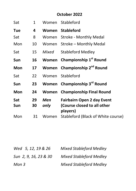### **October 2022**

| Sat        | 1        | Women       | Stableford                                                            |  |  |
|------------|----------|-------------|-----------------------------------------------------------------------|--|--|
| <b>Tue</b> | 4        | Women       | <b>Stableford</b>                                                     |  |  |
| Sat        | 8        | Women       | Stroke - Monthly Medal                                                |  |  |
| Mon        | 10       | Women       | Stroke - Monthly Medal                                                |  |  |
| Sat        | 15       | Mixed       | <b>Stableford Medley</b>                                              |  |  |
| Sun        | 16       |             | Women Championship 1st Round                                          |  |  |
| Mon        | 17       |             | Women Championship 2 <sup>nd</sup> Round                              |  |  |
| Sat        | 22       | Women       | Stableford                                                            |  |  |
| Sun        | 23       | Women       | Championship 3 <sup>rd</sup> Round                                    |  |  |
| Mon        | 24       | Women       | <b>Championship Final Round</b>                                       |  |  |
| Sat<br>Sun | 29<br>30 | Men<br>only | Fairbairn Open 2 day Event<br>(Course closed to all other<br>players) |  |  |
| Mon        | 31       | Women       | Stableford (Black of White course)                                    |  |  |

| Wed 5, 12, 19 & 26    | <b>Mixed Stableford Medley</b> |
|-----------------------|--------------------------------|
| Sun 2, 9, 16, 23 & 30 | <b>Mixed Stableford Medley</b> |
| Mon 3                 | <b>Mixed Stableford Medley</b> |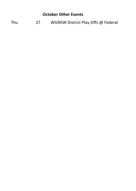#### **October Other Events**

Thu 27 WGNSW District Play-Offs @ Federal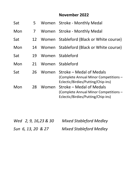# **November 2022**

| Sat | 5. |       | Women Stroke - Monthly Medal                                                                            |  |  |
|-----|----|-------|---------------------------------------------------------------------------------------------------------|--|--|
| Mon |    |       | Women Stroke - Monthly Medal                                                                            |  |  |
| Sat | 12 | Women | Stableford (Black or White course)                                                                      |  |  |
| Mon | 14 |       | Women Stableford (Black or White course)                                                                |  |  |
| Sat | 19 | Women | Stableford                                                                                              |  |  |
| Mon | 21 | Women | Stableford                                                                                              |  |  |
| Sat | 26 | Women | Stroke – Medal of Medals<br>(Complete Annual Minor Competitions -<br>Eclectic/Birdies/Putting/Chip-ins) |  |  |
| Mon | 28 | Women | Stroke – Medal of Medals<br>(Complete Annual Minor Competitions -<br>Eclectic/Birdies/Putting/Chip-ins) |  |  |

| Wed 2, 9, 16, 23 & 30 | <b>Mixed Stableford Medley</b> |
|-----------------------|--------------------------------|
| Sun 6, 13, 20 & 27    | <b>Mixed Stableford Medley</b> |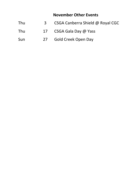#### **November 2022 November Other Events**

- Thu 3 CSGA Canberra Shield @ Royal CGC
- Thu 17 CSGA Gala Day @ Yass
- Sun 27 Gold Creek Open Day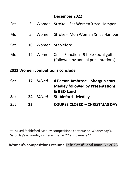#### **December 2022**

| Sat                              | 25 |       | <b>COURSE CLOSED - CHRISTMAS DAY</b>                                                 |  |  |
|----------------------------------|----|-------|--------------------------------------------------------------------------------------|--|--|
| Sat                              | 24 | Mixed | <b>Medley followed by Presentations</b><br>& BBQ Lunch<br><b>Stableford - Medlev</b> |  |  |
| Sat                              | 17 | Mixed | 4 Person Ambrose – Shotgun start –                                                   |  |  |
| 2022 Women competitions conclude |    |       |                                                                                      |  |  |
| Mon                              | 12 |       | Women Xmas Function - 9 hole social golf<br>(followed by annual presentations)       |  |  |
| Sat                              | 10 |       | Women Stableford                                                                     |  |  |
| Mon                              | 5. |       | Women Stroke - Mon Women Xmas Hamper                                                 |  |  |
| Sat                              | 3  |       | Women Stroke - Sat Women Xmas Hamper                                                 |  |  |

\*\* Mixed Stableford Medley competitions continue on Wednesday's, Saturday's & Sunday's - December 2022 and January\*\*

**Women competitions resume Feb: Sat 4h and Mon 6th 2023 Women's competitions resume Feb: Sat 4th and Mon 6th 2023**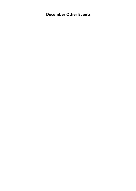**December Other Events December 2022 December Other Events**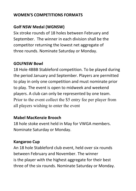# **WOMEN'S COMPETITIONS FORMATS**

# **Golf NSW Medal (WGNSW)**

Six stroke rounds of 18 holes between February and September. The winner in each division shall be the competitor returning the lowest net aggregate of three rounds. Nominate Saturday or Monday.

# **GOLFNSW Bowl**  overall winner best net score with the CSGA district. The CSGA district  $\mathbf{C}$  district. The CSGA district  $\mathbf{C}$  district. The CSGA district of  $\mathbf{C}$  district. The CSGA district of  $\mathbf{C}$  district

18 Hole 4BBB Stableford competition. To be played during the period January and September. Players are permitted to play in only one competition and must nominate prior to play. The event is open to midweek and weekend players. A club can only be represented by one team. Prior to the event collect the \$5 entry fee per player from all players wishing to enter the event

### **Mabel MacKenzie Brooch**

18 hole stoke event held in May for VWGA members. Nominate Saturday or Monday.

# **Kangaroo Cup Margaret Thomas – Shield for Veteran's Shield for Veteran's Shield for Veteran's Shield for Veteran's Shield for Veteran's Shield for Veteran's Shield for Veteran's Shield for Veteran's Shield for Veteran's**

An 18 hole Stableford club event, held over six rounds. between February and November. The winner is the player with the highest aggregate for their best three of the six rounds. Nominate Saturday or Monday.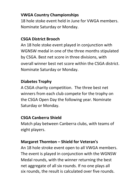# **VWGA Country Championships**

18 hole stoke event held in June for VWGA members. Nominate Saturday or Monday.

# September. The winner in each division shall be the **CSGA District Brooch**

An 18 hole stoke event played in conjunction with WGNSW medal in one of the three months stipulated. by CSGA. Best net score in three divisions, with **GOLFNSW Bowl** overall winner best net score within the CSGA district. Nominate Saturday or Monday.

# **Diabetes Trophy**

A CSGA charity competition. The three best net winners from each club compete for the trophy on the CSGA Open Day the following year. Nominate Saturday or Monday.

# **Mabel MacKenzie Brooch CSGA Canberra Shield**

Match play between Canberra clubs, with teams of eight players.

# **Margaret Thornton – Shield for Veteran's**

An 18 hole stroke event open to all VWGA members. The event is played in conjunction with the WGNSW Medal rounds, with the winner returning the best net aggregate of all six rounds. If no one plays all six rounds, the result is calculated over five rounds.